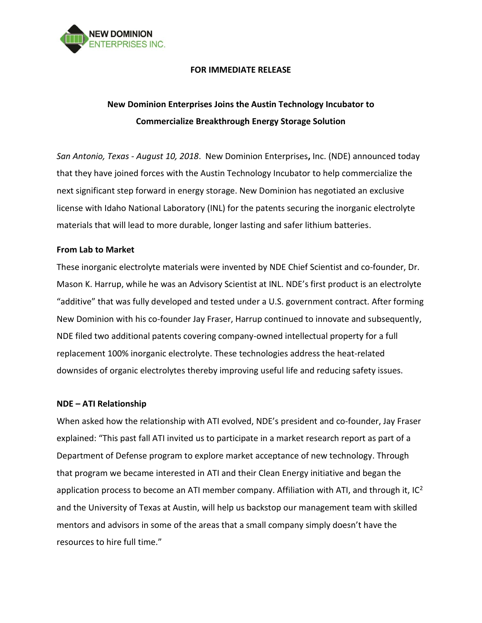

## **FOR IMMEDIATE RELEASE**

# **New Dominion Enterprises Joins the Austin Technology Incubator to Commercialize Breakthrough Energy Storage Solution**

*San Antonio, Texas - August 10, 2018*. New Dominion Enterprises**,** Inc. (NDE) announced today that they have joined forces with the Austin Technology Incubator to help commercialize the next significant step forward in energy storage. New Dominion has negotiated an exclusive license with Idaho National Laboratory (INL) for the patents securing the inorganic electrolyte materials that will lead to more durable, longer lasting and safer lithium batteries.

## **From Lab to Market**

These inorganic electrolyte materials were invented by NDE Chief Scientist and co-founder, Dr. Mason K. Harrup, while he was an Advisory Scientist at INL. NDE's first product is an electrolyte "additive" that was fully developed and tested under a U.S. government contract. After forming New Dominion with his co-founder Jay Fraser, Harrup continued to innovate and subsequently, NDE filed two additional patents covering company-owned intellectual property for a full replacement 100% inorganic electrolyte. These technologies address the heat-related downsides of organic electrolytes thereby improving useful life and reducing safety issues.

#### **NDE – ATI Relationship**

When asked how the relationship with ATI evolved, NDE's president and co-founder, Jay Fraser explained: "This past fall ATI invited us to participate in a market research report as part of a Department of Defense program to explore market acceptance of new technology. Through that program we became interested in ATI and their Clean Energy initiative and began the application process to become an ATI member company. Affiliation with ATI, and through it,  $IC^2$ and the University of Texas at Austin, will help us backstop our management team with skilled mentors and advisors in some of the areas that a small company simply doesn't have the resources to hire full time."